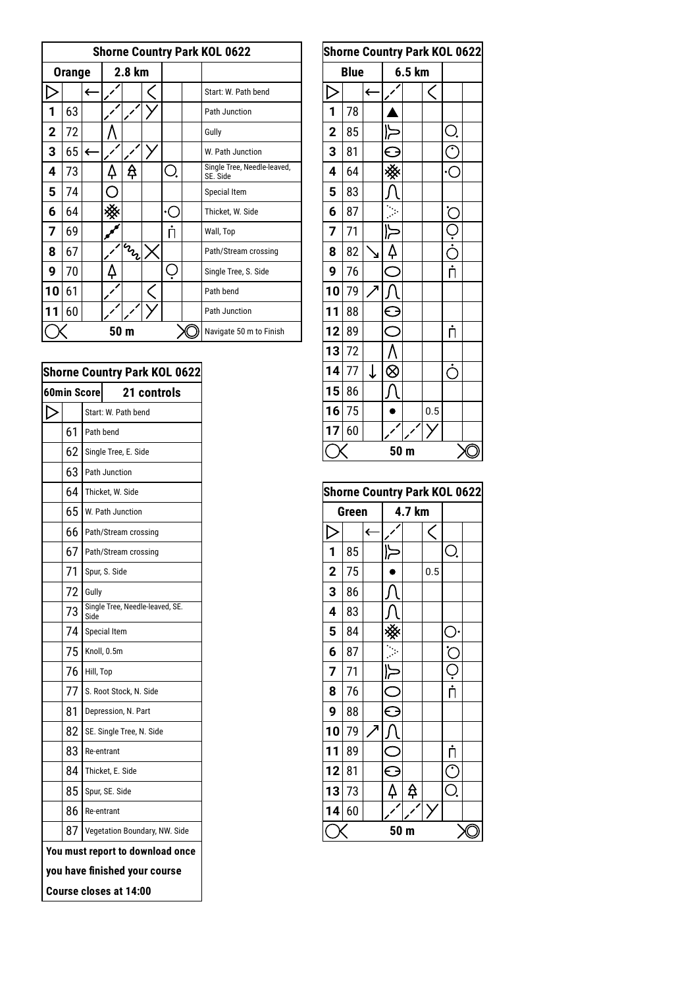|    | <b>Shorne Country Park KOL 0622</b> |   |        |              |  |                         |  |                                         |  |  |  |
|----|-------------------------------------|---|--------|--------------|--|-------------------------|--|-----------------------------------------|--|--|--|
|    | <b>Orange</b>                       |   | 2.8 km |              |  |                         |  |                                         |  |  |  |
|    |                                     |   |        |              |  |                         |  | Start: W. Path bend                     |  |  |  |
| 1  | 63                                  |   |        |              |  |                         |  | Path Junction                           |  |  |  |
| 2  | 72                                  |   |        |              |  |                         |  | Gully                                   |  |  |  |
| 3  | 65                                  | ← |        |              |  |                         |  | W. Path Junction                        |  |  |  |
| 4  | 73                                  |   | 4      | ₳            |  | Ò.                      |  | Single Tree, Needle-leaved,<br>SE. Side |  |  |  |
| 5  | 74                                  |   |        |              |  |                         |  | Special Item                            |  |  |  |
| 6  | 64                                  |   |        |              |  | ∙(                      |  | Thicket, W. Side                        |  |  |  |
| 7  | 69                                  |   |        |              |  | Π                       |  | Wall, Top                               |  |  |  |
| 8  | 67                                  |   |        | <b>IMADE</b> |  |                         |  | Path/Stream crossing                    |  |  |  |
| 9  | 70                                  |   | 4      |              |  |                         |  | Single Tree, S. Side                    |  |  |  |
| 10 | 61                                  |   |        |              |  |                         |  | Path bend                               |  |  |  |
| 11 | 60                                  |   |        |              |  |                         |  | Path Junction                           |  |  |  |
|    |                                     |   | 50 m   |              |  | Navigate 50 m to Finish |  |                                         |  |  |  |

| <b>Shorne Country Park KOL 0622</b> |    |                             |                                  |  |  |  |  |  |  |  |
|-------------------------------------|----|-----------------------------|----------------------------------|--|--|--|--|--|--|--|
| <b>60min Score</b><br>21 controls   |    |                             |                                  |  |  |  |  |  |  |  |
|                                     |    |                             | Start: W. Path bend              |  |  |  |  |  |  |  |
|                                     | 61 |                             | Path bend                        |  |  |  |  |  |  |  |
|                                     | 62 |                             | Single Tree, E. Side             |  |  |  |  |  |  |  |
|                                     | 63 |                             | Path Junction                    |  |  |  |  |  |  |  |
|                                     | 64 |                             | Thicket, W. Side                 |  |  |  |  |  |  |  |
|                                     | 65 |                             | W. Path Junction                 |  |  |  |  |  |  |  |
|                                     | 66 |                             | Path/Stream crossing             |  |  |  |  |  |  |  |
|                                     | 67 |                             | Path/Stream crossing             |  |  |  |  |  |  |  |
|                                     | 71 |                             | Spur, S. Side                    |  |  |  |  |  |  |  |
|                                     | 72 | Gully                       |                                  |  |  |  |  |  |  |  |
|                                     | 73 | Side                        | Single Tree, Needle-leaved, SE.  |  |  |  |  |  |  |  |
|                                     | 74 | Special Item<br>Knoll, 0.5m |                                  |  |  |  |  |  |  |  |
|                                     | 75 |                             |                                  |  |  |  |  |  |  |  |
|                                     | 76 | Hill, Top                   |                                  |  |  |  |  |  |  |  |
|                                     | 77 |                             | S. Root Stock, N. Side           |  |  |  |  |  |  |  |
|                                     | 81 |                             | Depression, N. Part              |  |  |  |  |  |  |  |
|                                     | 82 |                             | SE. Single Tree, N. Side         |  |  |  |  |  |  |  |
|                                     | 83 | Re-entrant                  |                                  |  |  |  |  |  |  |  |
|                                     | 84 | Thicket, E. Side            |                                  |  |  |  |  |  |  |  |
|                                     | 85 |                             | Spur, SE. Side                   |  |  |  |  |  |  |  |
|                                     | 86 |                             | Re-entrant                       |  |  |  |  |  |  |  |
|                                     | 87 |                             | Vegetation Boundary, NW. Side    |  |  |  |  |  |  |  |
|                                     |    |                             | You must report to download once |  |  |  |  |  |  |  |
|                                     |    |                             | you have finished your course    |  |  |  |  |  |  |  |
|                                     |    |                             | Course closes at 14:00           |  |  |  |  |  |  |  |

|    | <b>Shorne Country Park KOL 0622</b> |             |              |               |        |           |                                                            |  |  |  |  |
|----|-------------------------------------|-------------|--------------|---------------|--------|-----------|------------------------------------------------------------|--|--|--|--|
|    |                                     | <b>Blue</b> |              |               | 6.5 km |           |                                                            |  |  |  |  |
|    |                                     |             | $\leftarrow$ |               |        | $\, < \,$ |                                                            |  |  |  |  |
|    | 1                                   | 78          |              |               |        |           |                                                            |  |  |  |  |
|    | $\mathbf 2$                         | 85          |              | ا{            |        |           | Ò.                                                         |  |  |  |  |
|    | 3                                   | 81          |              | $\mathbf \in$ |        |           | $\mathfrak{C}% _{M_{1},M_{2}}^{\alpha,\beta}(\varepsilon)$ |  |  |  |  |
| J, | 4                                   | 64          |              |               |        |           | -)•                                                        |  |  |  |  |
|    | 5                                   | 83          |              |               |        |           |                                                            |  |  |  |  |
|    | 6                                   | 87          |              |               |        |           | .<br>C                                                     |  |  |  |  |
|    | 7                                   | 71          |              | 卜             |        |           |                                                            |  |  |  |  |
|    | 8                                   | 82          | Ñ            | 4             |        |           | ب<br>خ                                                     |  |  |  |  |
|    | 9                                   | 76          |              | $\subset$     |        |           | $\overline{\dot{\mathsf{n}}}$                              |  |  |  |  |
|    | 10                                  | 79          |              |               |        |           |                                                            |  |  |  |  |
|    | 11                                  | 88          |              | C             |        |           |                                                            |  |  |  |  |
|    | 12                                  | 89          |              | $\subset$     |        |           | Ļ                                                          |  |  |  |  |
|    | 13                                  | 72          |              |               |        |           |                                                            |  |  |  |  |
|    | 14                                  | 77          | $\downarrow$ | $\otimes$     |        |           | Ċ                                                          |  |  |  |  |
|    | 15                                  | 86          |              |               |        |           |                                                            |  |  |  |  |
|    | 16                                  | 75          |              |               |        | 0.5       |                                                            |  |  |  |  |
|    | 17                                  | 60          |              |               |        |           |                                                            |  |  |  |  |
|    | 50 <sub>m</sub>                     |             |              |               |        |           |                                                            |  |  |  |  |

| <b>Shorne Country Park KOL 0622</b> |       |   |           |        |     |                               |  |  |  |
|-------------------------------------|-------|---|-----------|--------|-----|-------------------------------|--|--|--|
|                                     | Green |   |           | 4.7 km |     |                               |  |  |  |
| D<br>$\leftarrow$                   |       |   |           | C      |     |                               |  |  |  |
| 1                                   | 85    |   |           |        |     | Ò.                            |  |  |  |
| $\overline{2}$                      | 75    |   |           |        | 0.5 |                               |  |  |  |
| 3                                   | 86    |   |           |        |     |                               |  |  |  |
| 4                                   | 83    |   |           |        |     |                               |  |  |  |
| 5                                   | 84    |   |           |        |     | C.                            |  |  |  |
| 6                                   | 87    |   |           |        |     | $\check{\subset}$             |  |  |  |
| 7                                   | 71    |   | ~(        |        |     | Ċ                             |  |  |  |
| 8                                   | 76    |   | $\subset$ |        |     | $\overline{\dot{\mathsf{n}}}$ |  |  |  |
| 9                                   | 88    |   | $\ominus$ |        |     |                               |  |  |  |
| 10                                  | 79    | л |           |        |     |                               |  |  |  |
| 11                                  | 89    |   | $\subset$ |        |     | Ļ                             |  |  |  |
| 12                                  | 81    |   | ⊖         |        |     | ٢                             |  |  |  |
| 13                                  | 73    |   | 4         | ₿      |     | Ō.                            |  |  |  |
| 14                                  | 60    |   |           |        |     |                               |  |  |  |
|                                     |       |   |           | r      |     |                               |  |  |  |